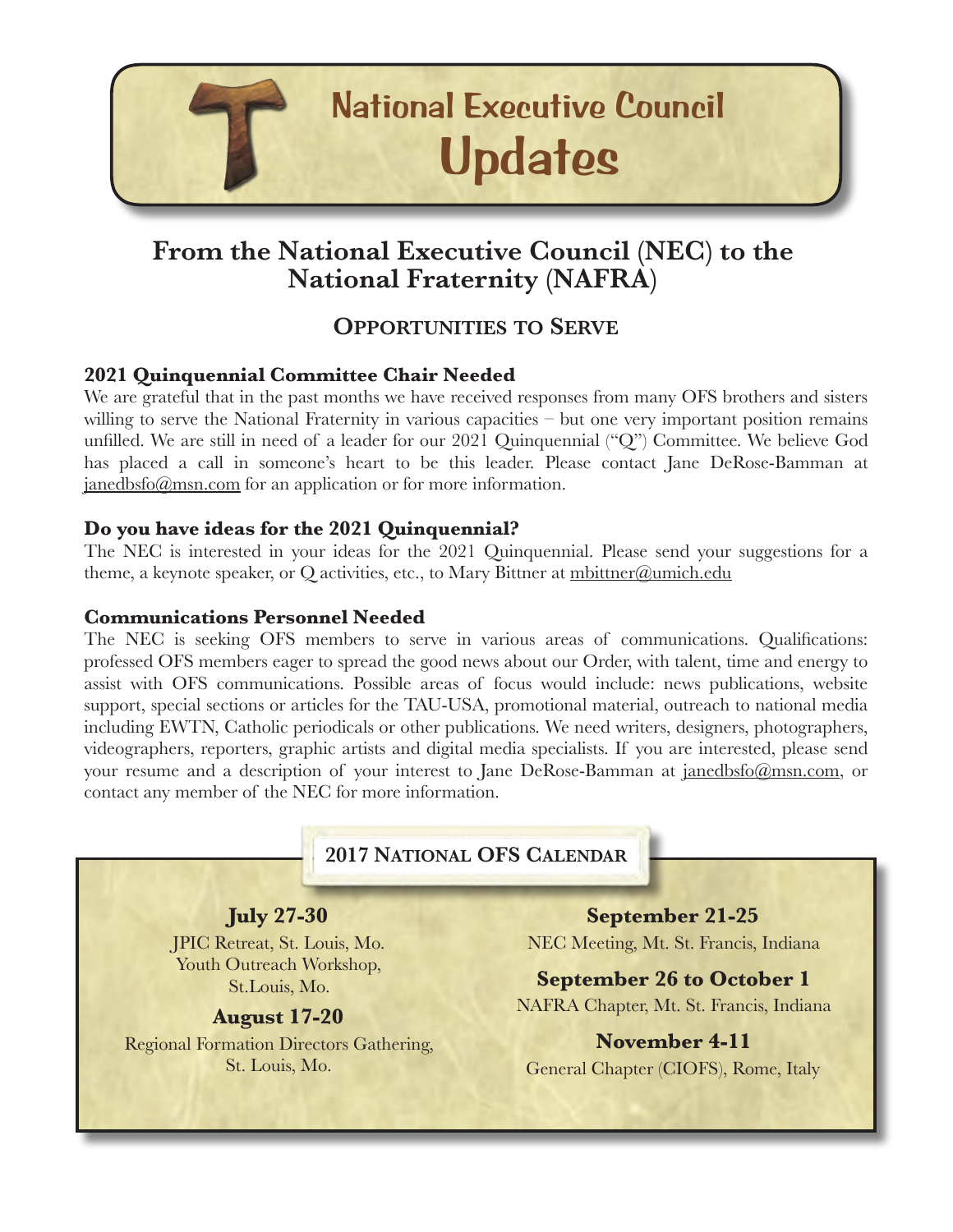

# **From the National Executive Council (NEC) to the National Fraternity (NAFRA)**

### **OPPORTUNITIES TO SERVE**

#### **2021 Quinquennial Committee Chair Needed**

We are grateful that in the past months we have received responses from many OFS brothers and sisters willing to serve the National Fraternity in various capacities – but one very important position remains unfilled. We are still in need of a leader for our 2021 Quinquennial ("Q") Committee. We believe God has placed a call in someone's heart to be this leader. Please contact Jane DeRose-Bamman at [janedbsfo@msn.com](mailto:janedbsfo@msn.com) for an application or for more information.

#### **Do you have ideas for the 2021 Quinquennial?**

The NEC is interested in your ideas for the 2021 Quinquennial. Please send your suggestions for a theme, a keynote speaker, or Q activities, etc., to Mary Bittner at [mbittner@umich.edu](mailto:mbittner@umich.edu)

#### **Communications Personnel Needed**

The NEC is seeking OFS members to serve in various areas of communications. Qualifications: professed OFS members eager to spread the good news about our Order, with talent, time and energy to assist with OFS communications. Possible areas of focus would include: news publications, website support, special sections or articles for the TAU-USA, promotional material, outreach to national media including EWTN, Catholic periodicals or other publications. We need writers, designers, photographers, videographers, reporters, graphic artists and digital media specialists. If you are interested, please send your resume and a description of your interest to Jane DeRose-Bamman at [janedbsfo@msn.com,](mailto:janedbsfo@msn.com) or contact any member of the NEC for more information.

#### **2017 NATIONAL OFS CALENDAR**

**July 27-30**  JPIC Retreat, St. Louis, Mo. Youth Outreach Workshop, St.Louis, Mo.

#### **August 17-20**

Regional Formation Directors Gathering, St. Louis, Mo.

**September 21-25** NEC Meeting, Mt. St. Francis, Indiana

**September 26 to October 1** NAFRA Chapter, Mt. St. Francis, Indiana

**November 4-11**  General Chapter (CIOFS), Rome, Italy